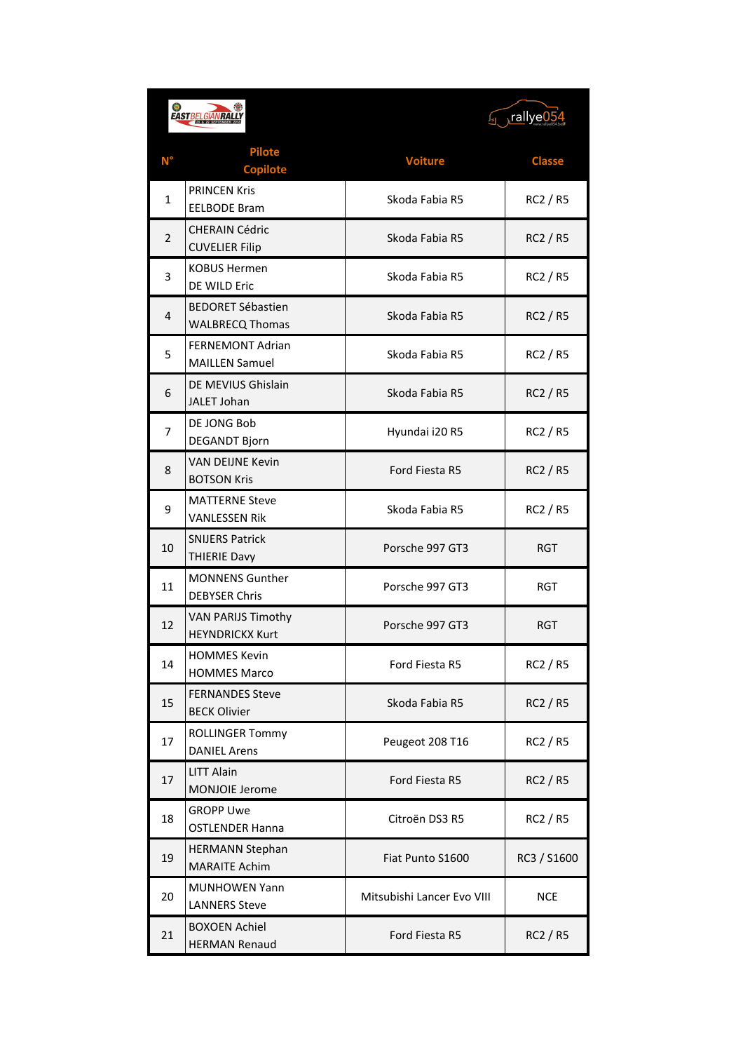| $\circledast$<br><b>EAST BELGIANRA</b> |                                                     | ⊬rallye05 <sub>ا</sub>     |                 |
|----------------------------------------|-----------------------------------------------------|----------------------------|-----------------|
| $N^{\circ}$                            | <b>Pilote</b><br><b>Copilote</b>                    | <b>Voiture</b>             | <b>Classe</b>   |
| 1                                      | <b>PRINCEN Kris</b><br><b>EELBODE Bram</b>          | Skoda Fabia R5             | <b>RC2 / R5</b> |
| $\overline{2}$                         | <b>CHERAIN Cédric</b><br><b>CUVELIER Filip</b>      | Skoda Fabia R5             | <b>RC2 / R5</b> |
| 3                                      | <b>KOBUS Hermen</b><br>DE WILD Eric                 | Skoda Fabia R5             | <b>RC2 / R5</b> |
| 4                                      | <b>BEDORET Sébastien</b><br><b>WALBRECQ Thomas</b>  | Skoda Fabia R5             | <b>RC2 / R5</b> |
| 5                                      | <b>FERNEMONT Adrian</b><br><b>MAILLEN Samuel</b>    | Skoda Fabia R5             | <b>RC2 / R5</b> |
| 6                                      | DE MEVIUS Ghislain<br>JALET Johan                   | Skoda Fabia R5             | <b>RC2 / R5</b> |
| 7                                      | DE JONG Bob<br><b>DEGANDT Bjorn</b>                 | Hyundai i20 R5             | <b>RC2 / R5</b> |
| 8                                      | <b>VAN DEIJNE Kevin</b><br><b>BOTSON Kris</b>       | Ford Fiesta R5             | <b>RC2 / R5</b> |
| 9                                      | <b>MATTERNE Steve</b><br><b>VANLESSEN Rik</b>       | Skoda Fabia R5             | <b>RC2 / R5</b> |
| 10                                     | <b>SNIJERS Patrick</b><br><b>THIERIE Davy</b>       | Porsche 997 GT3            | <b>RGT</b>      |
| 11                                     | <b>MONNENS Gunther</b><br><b>DEBYSER Chris</b>      | Porsche 997 GT3            | RGT             |
| 12                                     | <b>VAN PARIJS Timothy</b><br><b>HEYNDRICKX Kurt</b> | Porsche 997 GT3            | <b>RGT</b>      |
| 14                                     | <b>HOMMES Kevin</b><br><b>HOMMES Marco</b>          | Ford Fiesta R5             | <b>RC2 / R5</b> |
| 15                                     | <b>FERNANDES Steve</b><br><b>BECK Olivier</b>       | Skoda Fabia R5             | RC2 / R5        |
| 17                                     | <b>ROLLINGER Tommy</b><br><b>DANIEL Arens</b>       | Peugeot 208 T16            | RC2 / R5        |
| 17                                     | <b>LITT Alain</b><br>MONJOIE Jerome                 | Ford Fiesta R5             | <b>RC2 / R5</b> |
| 18                                     | <b>GROPP Uwe</b><br><b>OSTLENDER Hanna</b>          | Citroën DS3 R5             | RC2 / R5        |
| 19                                     | <b>HERMANN Stephan</b><br><b>MARAITE Achim</b>      | Fiat Punto S1600           | RC3 / S1600     |
| 20                                     | <b>MUNHOWEN Yann</b><br><b>LANNERS Steve</b>        | Mitsubishi Lancer Evo VIII | <b>NCE</b>      |
| 21                                     | <b>BOXOEN Achiel</b><br><b>HERMAN Renaud</b>        | Ford Fiesta R5             | RC2 / R5        |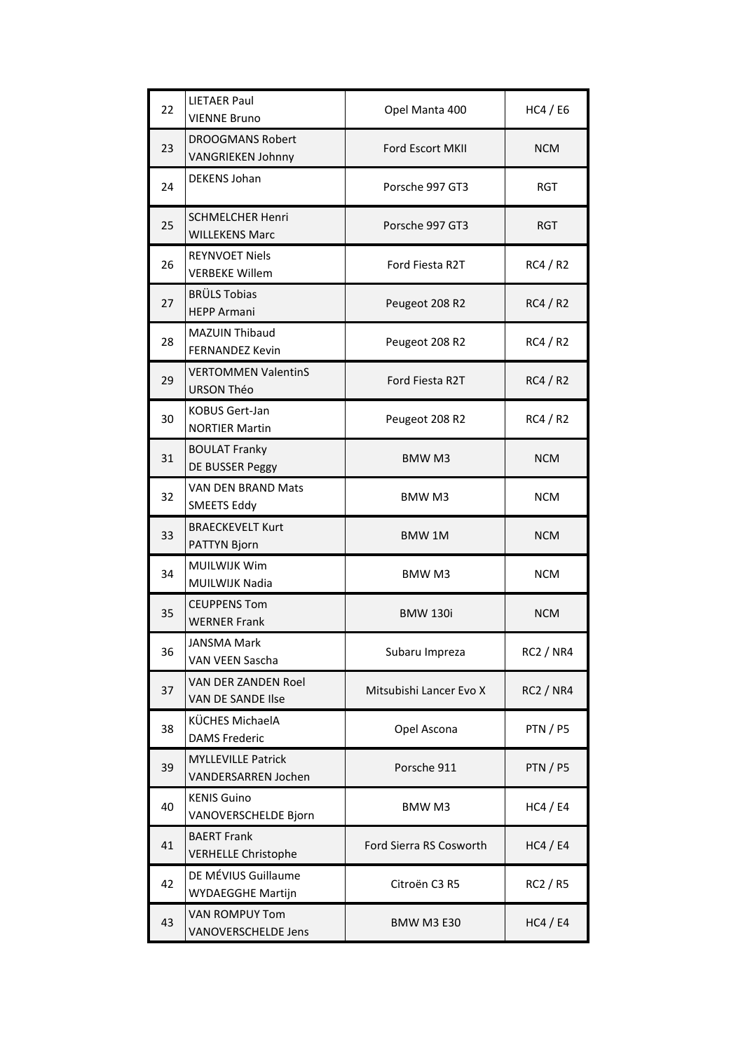| 22 | <b>LIETAER Paul</b><br><b>VIENNE Bruno</b>              | Opel Manta 400                 | HC4 / EG         |
|----|---------------------------------------------------------|--------------------------------|------------------|
| 23 | <b>DROOGMANS Robert</b><br><b>VANGRIEKEN Johnny</b>     | <b>Ford Escort MKII</b>        | <b>NCM</b>       |
| 24 | <b>DEKENS Johan</b>                                     | Porsche 997 GT3                | <b>RGT</b>       |
| 25 | <b>SCHMELCHER Henri</b><br><b>WILLEKENS Marc</b>        | Porsche 997 GT3                | <b>RGT</b>       |
| 26 | <b>REYNVOET Niels</b><br><b>VERBEKE Willem</b>          | Ford Fiesta R2T                | <b>RC4 / R2</b>  |
| 27 | <b>BRÜLS Tobias</b><br><b>HEPP Armani</b>               | Peugeot 208 R2                 | RC4/R2           |
| 28 | <b>MAZUIN Thibaud</b><br><b>FERNANDEZ Kevin</b>         | Peugeot 208 R2                 | RC4/R2           |
| 29 | <b>VERTOMMEN ValentinS</b><br><b>URSON Théo</b>         | Ford Fiesta R2T                | RC4/R2           |
| 30 | <b>KOBUS Gert-Jan</b><br><b>NORTIER Martin</b>          | Peugeot 208 R2                 | RC4 / R2         |
| 31 | <b>BOULAT Franky</b><br>DE BUSSER Peggy                 | BMW M3                         | <b>NCM</b>       |
| 32 | <b>VAN DEN BRAND Mats</b><br><b>SMEETS Eddy</b>         | BMW M3                         | <b>NCM</b>       |
| 33 | <b>BRAECKEVELT Kurt</b><br>PATTYN Bjorn                 | <b>BMW1M</b>                   | <b>NCM</b>       |
| 34 | <b>MUILWIJK Wim</b><br><b>MUILWIJK Nadia</b>            | <b>BMW M3</b>                  | <b>NCM</b>       |
| 35 | <b>CEUPPENS Tom</b><br><b>WERNER Frank</b>              | <b>BMW 130i</b>                | <b>NCM</b>       |
| 36 | <b>JANSMA Mark</b><br>VAN VEEN Sascha                   | Subaru Impreza                 | RC2 / NR4        |
| 37 | VAN DER ZANDEN Roel<br><b>VAN DE SANDE Ilse</b>         | Mitsubishi Lancer Evo X        | <b>RC2 / NR4</b> |
| 38 | KÜCHES MichaelA<br><b>DAMS Frederic</b>                 | Opel Ascona                    | <b>PTN / P5</b>  |
| 39 | <b>MYLLEVILLE Patrick</b><br><b>VANDERSARREN Jochen</b> | Porsche 911                    | <b>PTN/P5</b>    |
| 40 | <b>KENIS Guino</b><br>VANOVERSCHELDE Bjorn              | BMW M3                         | HC4 / E4         |
| 41 | <b>BAERT Frank</b><br><b>VERHELLE Christophe</b>        | <b>Ford Sierra RS Cosworth</b> | HC4 / E4         |
| 42 | DE MÉVIUS Guillaume<br><b>WYDAEGGHE Martijn</b>         | Citroën C3 R5                  | RC2 / R5         |
| 43 | VAN ROMPUY Tom<br><b>VANOVERSCHELDE Jens</b>            | <b>BMW M3 E30</b>              | HC4 / E4         |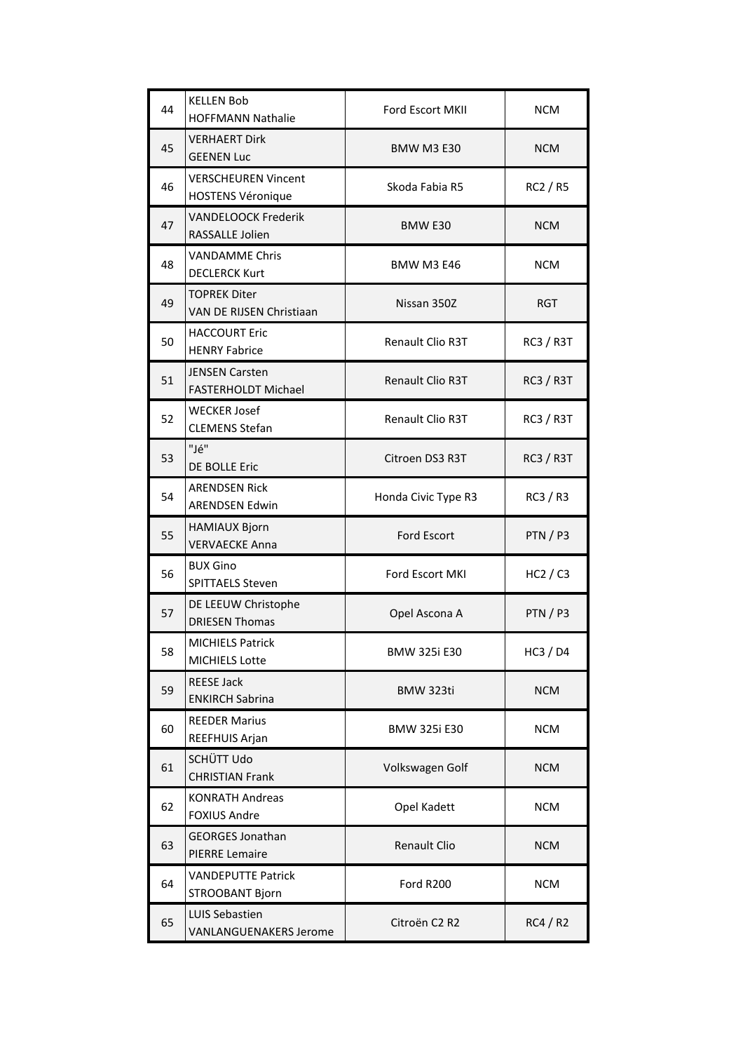| 44 | <b>KELLEN Bob</b><br><b>HOFFMANN Nathalie</b>          | <b>Ford Escort MKII</b> | NCM.             |
|----|--------------------------------------------------------|-------------------------|------------------|
| 45 | <b>VERHAERT Dirk</b><br><b>GEENEN Luc</b>              | <b>BMW M3 E30</b>       | <b>NCM</b>       |
| 46 | <b>VERSCHEUREN Vincent</b><br><b>HOSTENS Véronique</b> | Skoda Fabia R5          | RC2 / R5         |
| 47 | <b>VANDELOOCK Frederik</b><br><b>RASSALLE Jolien</b>   | BMW E30                 | <b>NCM</b>       |
| 48 | <b>VANDAMME Chris</b><br><b>DECLERCK Kurt</b>          | <b>BMW M3 E46</b>       | <b>NCM</b>       |
| 49 | <b>TOPREK Diter</b><br>VAN DE RIJSEN Christiaan        | Nissan 350Z             | <b>RGT</b>       |
| 50 | <b>HACCOURT Eric</b><br><b>HENRY Fabrice</b>           | <b>Renault Clio R3T</b> | <b>RC3 / R3T</b> |
| 51 | <b>JENSEN Carsten</b><br><b>FASTERHOLDT Michael</b>    | <b>Renault Clio R3T</b> | <b>RC3 / R3T</b> |
| 52 | <b>WECKER Josef</b><br><b>CLEMENS Stefan</b>           | Renault Clio R3T        | <b>RC3 / R3T</b> |
| 53 | "Jé"<br><b>DE BOLLE Eric</b>                           | Citroen DS3 R3T         | <b>RC3 / R3T</b> |
| 54 | <b>ARENDSEN Rick</b><br><b>ARENDSEN Edwin</b>          | Honda Civic Type R3     | RC3 / R3         |
| 55 | <b>HAMIAUX Bjorn</b><br><b>VERVAECKE Anna</b>          | <b>Ford Escort</b>      | PTN/P3           |
| 56 | <b>BUX Gino</b><br><b>SPITTAELS Steven</b>             | Ford Escort MKI         | HC2 / C3         |
| 57 | DE LEEUW Christophe<br><b>DRIESEN Thomas</b>           | Opel Ascona A           | PTN / P3         |
| 58 | <b>MICHIELS Patrick</b><br><b>MICHIELS Lotte</b>       | <b>BMW 325i E30</b>     | HC3 / D4         |
| 59 | <b>REESE Jack</b><br><b>ENKIRCH Sabrina</b>            | BMW 323ti               | <b>NCM</b>       |
| 60 | <b>REEDER Marius</b><br>REEFHUIS Arjan                 | <b>BMW 325i E30</b>     | <b>NCM</b>       |
| 61 | SCHÜTT Udo<br><b>CHRISTIAN Frank</b>                   | Volkswagen Golf         | <b>NCM</b>       |
| 62 | <b>KONRATH Andreas</b><br><b>FOXIUS Andre</b>          | Opel Kadett             | <b>NCM</b>       |
| 63 | <b>GEORGES Jonathan</b><br><b>PIERRE Lemaire</b>       | <b>Renault Clio</b>     | <b>NCM</b>       |
| 64 | <b>VANDEPUTTE Patrick</b><br>STROOBANT Bjorn           | Ford R200               | <b>NCM</b>       |
| 65 | <b>LUIS Sebastien</b><br><b>VANLANGUENAKERS Jerome</b> | Citroën C2 R2           | RC4/R2           |